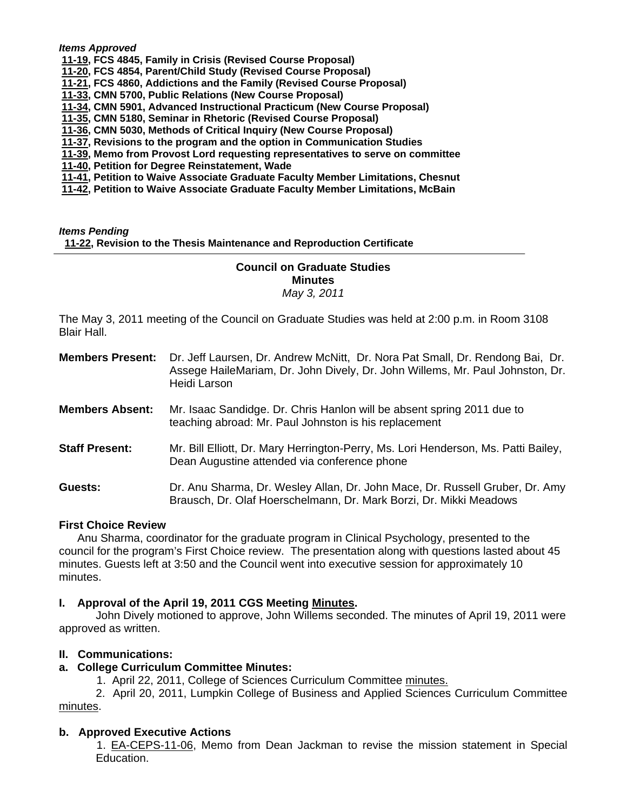#### *Items Approved*

 **[11-19, F](http://castle.eiu.edu/~eiucgs/currentagendaitems/agenda11-19.pdf)CS 4845, Family in Crisis (Revised Course Proposal)** 

 **[11-20,](http://castle.eiu.edu/~eiucgs/currentagendaitems/agenda11-20.pdf) FCS 4854, Parent/Child Study (Revised Course Proposal)** 

 **[11-21,](http://castle.eiu.edu/~eiucgs/currentagendaitems/agenda11-21.pdf) FCS 4860, Addictions and the Family (Revised Course Proposal)** 

 **[11-33, C](http://castle.eiu.edu/~eiucgs/currentagendaitems/agenda11-33.pdf)MN 5700, Public Relations (New Course Proposal)** 

 **[11-34, C](http://castle.eiu.edu/~eiucgs/currentagendaitems/agenda11-34.pdf)MN 5901, Advanced Instructional Practicum (New Course Proposal)** 

 **[11-35, C](http://castle.eiu.edu/~eiucgs/currentagendaitems/agenda11-35.pdf)MN 5180, Seminar in Rhetoric (Revised Course Proposal)** 

 **[11-36,](http://castle.eiu.edu/~eiucgs/currentagendaitems/agenda11-36.pdf) CMN 5030, Methods of Critical Inquiry (New Course Proposal)** 

 **[11-37, R](http://castle.eiu.edu/~eiucgs/currentagendaitems/agenda11-37.pdf)evisions to the program and the option in Communication Studies** 

 **[11-39, M](http://castle.eiu.edu/~eiucgs/currentagendaitems/agenda11-39.pdf)emo from Provost Lord requesting representatives to serve on committee** 

 **[11-40, P](http://castle.eiu.edu/~eiucgs/currentagendaitems/agenda11-40.pdf)etition for Degree Reinstatement, Wade** 

 **[11-41, P](http://castle.eiu.edu/~eiucgs/currentagendaitems/agenda11-41.pdf)etition to Waive Associate Graduate Faculty Member Limitations, Chesnut** 

 **[11-42, Pe](http://castle.eiu.edu/~eiucgs/currentagendaitems/agenda11-42.pdf)tition to Waive Associate Graduate Faculty Member Limitations, McBain** 

#### *Items Pending*  **[11-22,](http://castle.eiu.edu/~eiucgs/currentagendaitems/agenda11-22.pdf) Revision to the Thesis Maintenance and Reproduction Certificate**

## **Council on Graduate Studies Minutes**  *May 3, 2011*

The May 3, 2011 meeting of the Council on Graduate Studies was held at 2:00 p.m. in Room 3108 Blair Hall.

| <b>Members Present:</b> | Dr. Jeff Laursen, Dr. Andrew McNitt, Dr. Nora Pat Small, Dr. Rendong Bai, Dr.<br>Assege HaileMariam, Dr. John Dively, Dr. John Willems, Mr. Paul Johnston, Dr.<br>Heidi Larson |
|-------------------------|--------------------------------------------------------------------------------------------------------------------------------------------------------------------------------|
| <b>Members Absent:</b>  | Mr. Isaac Sandidge. Dr. Chris Hanlon will be absent spring 2011 due to<br>teaching abroad: Mr. Paul Johnston is his replacement                                                |
| <b>Staff Present:</b>   | Mr. Bill Elliott, Dr. Mary Herrington-Perry, Ms. Lori Henderson, Ms. Patti Bailey,<br>Dean Augustine attended via conference phone                                             |
| Guests:                 | Dr. Anu Sharma, Dr. Wesley Allan, Dr. John Mace, Dr. Russell Gruber, Dr. Amy<br>Brausch, Dr. Olaf Hoerschelmann, Dr. Mark Borzi, Dr. Mikki Meadows                             |

#### **First Choice Review**

Anu Sharma, coordinator for the graduate program in Clinical Psychology, presented to the council for the program's First Choice review. The presentation along with questions lasted about 45 minutes. Guests left at 3:50 and the Council went into executive session for approximately 10 minutes.

## **I. Approval of the April 19, 2011 CGS Meeting [Minutes.](http://castle.eiu.edu/~eiucgs/currentminutes/Minutes4-19-11.pdf)**

 John Dively motioned to approve, John Willems seconded. The minutes of April 19, 2011 were approved as written.

## **II. Communications:**

## **a. College Curriculum Committee Minutes:**

1. April 22, 2011, College of Sciences Curriculum Committ[ee minutes.](http://castle.eiu.edu/~eiucgs/currentagendaitems/COSMin4-22-11.pdf)

 2. April 20, 2011, Lumpkin College of Business and Applied Sciences Curriculum Committee [minutes.](http://castle.eiu.edu/~eiucgs/currentagendaitems/LCBASMin4-20-11.pdf) 

## **b. Approved Executive Actions**

 [1. EA-CEPS-11-06, Mem](http://castle.eiu.edu/~eiucgs/exec-actions/EA-CEPS-11-06.pdf)o from Dean Jackman to revise the mission statement in Special Education.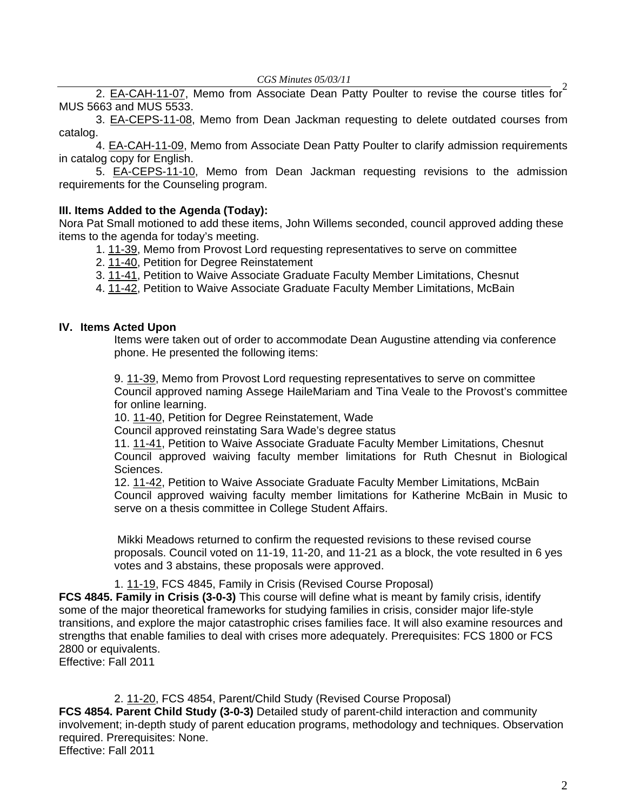[2. EA-CAH-11-07,](http://castle.eiu.edu/~eiucgs/exec-actions/EA-CAH-11-07.pdf) Memo from Associate Dean Patty Poulter to revise the course titles for<sup>2</sup> MUS 5663 and MUS 5533.

 3[. EA-CEPS-11-08,](http://castle.eiu.edu/~eiucgs/exec-actions/EA-CEPS-11-08.pdf) Memo from Dean Jackman requesting to delete outdated courses from catalog.

4[. EA-CAH-11-09, M](http://castle.eiu.edu/~eiucgs/exec-actions/EA-CAH-11-09.pdf)emo from Associate Dean Patty Poulter to clarify admission requirements in catalog copy for English.

 5. [EA-CEPS-11-10,](http://castle.eiu.edu/~eiucgs/exec-actions/EA-CEPS-11-10.pdf) Memo from Dean Jackman requesting revisions to the admission requirements for the Counseling program.

# **III. Items Added to the Agenda (Today):**

Nora Pat Small motioned to add these items, John Willems seconded, council approved adding these items to the agenda for today's meeting.

- 1. [11-39,](http://castle.eiu.edu/~eiucgs/currentagendaitems/agenda11-39.pdf) Memo from Provost Lord requesting representatives to serve on committee
- 2[. 11-40,](http://castle.eiu.edu/~eiucgs/currentagendaitems/agenda11-40.pdf) Petition for Degree Reinstatement
- 3. [11-41,](http://castle.eiu.edu/~eiucgs/currentagendaitems/agenda11-41.pdf) Petition to Waive Associate Graduate Faculty Member Limitations, Chesnut
- 4. [11-42,](http://castle.eiu.edu/~eiucgs/currentagendaitems/agenda11-42.pdf) Petition to Waive Associate Graduate Faculty Member Limitations, McBain

# **IV. Items Acted Upon**

Items were taken out of order to accommodate Dean Augustine attending via conference phone. He presented the following items:

9. [11-39,](http://castle.eiu.edu/~eiucgs/currentagendaitems/agenda11-39.pdf) Memo from Provost Lord requesting representatives to serve on committee Council approved naming Assege HaileMariam and Tina Veale to the Provost's committee for online learning.

10. [11-40,](http://castle.eiu.edu/~eiucgs/currentagendaitems/agenda11-40.pdf) Petition for Degree Reinstatement, Wade

Council approved reinstating Sara Wade's degree status

11. [11-41,](http://castle.eiu.edu/~eiucgs/currentagendaitems/agenda11-41.pdf) Petition to Waive Associate Graduate Faculty Member Limitations, Chesnut Council approved waiving faculty member limitations for Ruth Chesnut in Biological Sciences.

12. [11-42,](http://castle.eiu.edu/~eiucgs/currentagendaitems/agenda11-42.pdf) Petition to Waive Associate Graduate Faculty Member Limitations, McBain Council approved waiving faculty member limitations for Katherine McBain in Music to serve on a thesis committee in College Student Affairs.

 Mikki Meadows returned to confirm the requested revisions to these revised course proposals. Council voted on 11-19, 11-20, and 11-21 as a block, the vote resulted in 6 yes votes and 3 abstains, these proposals were approved.

# 1. [11-19,](http://castle.eiu.edu/~eiucgs/currentagendaitems/agenda11-19.pdf) FCS 4845, Family in Crisis (Revised Course Proposal)

**FCS 4845. Family in Crisis (3-0-3)** This course will define what is meant by family crisis, identify some of the major theoretical frameworks for studying families in crisis, consider major life-style transitions, and explore the major catastrophic crises families face. It will also examine resources and strengths that enable families to deal with crises more adequately. Prerequisites: FCS 1800 or FCS 2800 or equivalents.

Effective: Fall 2011

# [2. 11-20, F](http://castle.eiu.edu/~eiucgs/currentagendaitems/agenda11-20.pdf)CS 4854, Parent/Child Study (Revised Course Proposal)

**FCS 4854. Parent Child Study (3-0-3)** Detailed study of parent-child interaction and community involvement; in-depth study of parent education programs, methodology and techniques. Observation required. Prerequisites: None. Effective: Fall 2011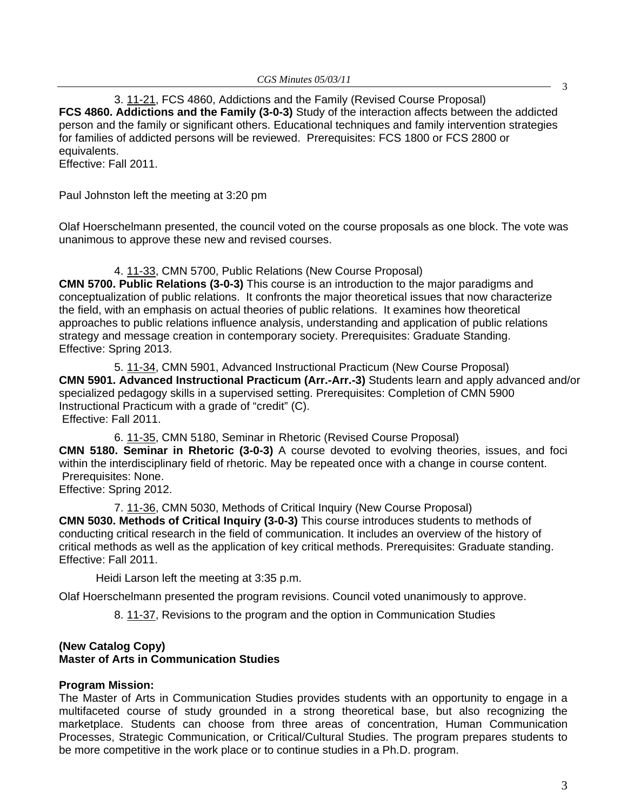3. [11-21, FC](http://castle.eiu.edu/~eiucgs/currentagendaitems/agenda11-21.pdf)S 4860, Addictions and the Family (Revised Course Proposal) **FCS 4860. Addictions and the Family (3-0-3)** Study of the interaction affects between the addicted person and the family or significant others. Educational techniques and family intervention strategies for families of addicted persons will be reviewed. Prerequisites: FCS 1800 or FCS 2800 or equivalents.

Effective: Fall 2011.

Paul Johnston left the meeting at 3:20 pm

Olaf Hoerschelmann presented, the council voted on the course proposals as one block. The vote was unanimous to approve these new and revised courses.

# 4. [11-33,](http://castle.eiu.edu/~eiucgs/currentagendaitems/agenda11-33.pdf) CMN 5700, Public Relations (New Course Proposal)

**CMN 5700. Public Relations (3-0-3)** This course is an introduction to the major paradigms and conceptualization of public relations. It confronts the major theoretical issues that now characterize the field, with an emphasis on actual theories of public relations. It examines how theoretical approaches to public relations influence analysis, understanding and application of public relations strategy and message creation in contemporary society. Prerequisites: Graduate Standing. Effective: Spring 2013.

5. [11-34,](http://castle.eiu.edu/~eiucgs/currentagendaitems/agenda11-34.pdf) CMN 5901, Advanced Instructional Practicum (New Course Proposal) **CMN 5901. Advanced Instructional Practicum (Arr.-Arr.-3)** Students learn and apply advanced and/or specialized pedagogy skills in a supervised setting. Prerequisites: Completion of CMN 5900 Instructional Practicum with a grade of "credit" (C). Effective: Fall 2011.

6. [11-35,](http://castle.eiu.edu/~eiucgs/currentagendaitems/agenda11-35.pdf) CMN 5180, Seminar in Rhetoric (Revised Course Proposal) **CMN 5180. Seminar in Rhetoric (3-0-3)** A course devoted to evolving theories, issues, and foci within the interdisciplinary field of rhetoric. May be repeated once with a change in course content. Prerequisites: None.

Effective: Spring 2012.

7. [11-36,](http://castle.eiu.edu/~eiucgs/currentagendaitems/agenda11-36.pdf) CMN 5030, Methods of Critical Inquiry (New Course Proposal) **CMN 5030. Methods of Critical Inquiry (3-0-3)** This course introduces students to methods of conducting critical research in the field of communication. It includes an overview of the history of critical methods as well as the application of key critical methods. Prerequisites: Graduate standing. Effective: Fall 2011.

Heidi Larson left the meeting at 3:35 p.m.

Olaf Hoerschelmann presented the program revisions. Council voted unanimously to approve.

8. [11-37,](http://castle.eiu.edu/~eiucgs/currentagendaitems/agenda11-37.pdf) Revisions to the program and the option in Communication Studies

# **(New Catalog Copy) Master of Arts in Communication Studies**

# **Program Mission:**

The Master of Arts in Communication Studies provides students with an opportunity to engage in a multifaceted course of study grounded in a strong theoretical base, but also recognizing the marketplace. Students can choose from three areas of concentration, Human Communication Processes, Strategic Communication, or Critical/Cultural Studies. The program prepares students to be more competitive in the work place or to continue studies in a Ph.D. program.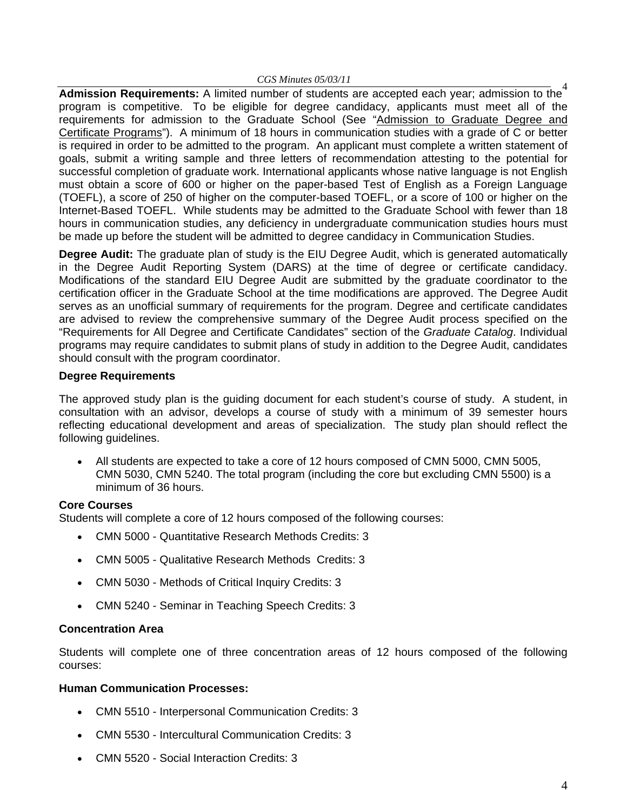#### *CGS Minutes 05/03/11*

<sup>4</sup> **Admission Requirements:** A limited number of students are accepted each year; admission to the program is competitive. To be eligible for degree candidacy, applicants must meet all of the requirements for admission to the Graduate School (See "Admission to Graduate Degree and Certificate Programs"). A minimum of 18 hours in communication studies with a grade of C or better is required in order to be admitted to the program. An applicant must complete a written statement of goals, submit a writing sample and three letters of recommendation attesting to the potential for successful completion of graduate work. International applicants whose native language is not English must obtain a score of 600 or higher on the paper-based Test of English as a Foreign Language (TOEFL), a score of 250 of higher on the computer-based TOEFL, or a score of 100 or higher on the Internet-Based TOEFL. While students may be admitted to the Graduate School with fewer than 18 hours in communication studies, any deficiency in undergraduate communication studies hours must be made up before the student will be admitted to degree candidacy in Communication Studies.

**Degree Audit:** The graduate plan of study is the EIU Degree Audit, which is generated automatically in the Degree Audit Reporting System (DARS) at the time of degree or certificate candidacy. Modifications of the standard EIU Degree Audit are submitted by the graduate coordinator to the certification officer in the Graduate School at the time modifications are approved. The Degree Audit serves as an unofficial summary of requirements for the program. Degree and certificate candidates are advised to review the comprehensive summary of the Degree Audit process specified on the "Requirements for All Degree and Certificate Candidates" section of the *Graduate Catalog*. Individual programs may require candidates to submit plans of study in addition to the Degree Audit, candidates should consult with the program coordinator.

# **Degree Requirements**

The approved study plan is the guiding document for each student's course of study. A student, in consultation with an advisor, develops a course of study with a minimum of 39 semester hours reflecting educational development and areas of specialization. The study plan should reflect the following guidelines.

• All students are expected to take a core of 12 hours composed of CMN 5000, CMN 5005, CMN 5030, CMN 5240. The total program (including the core but excluding CMN 5500) is a minimum of 36 hours.

# **Core Courses**

Students will complete a core of 12 hours composed of the following courses:

- CMN 5000 Quantitative Research Methods Credits: 3
- CMN 5005 Qualitative Research Methods Credits: 3
- CMN 5030 Methods of Critical Inquiry Credits: 3
- CMN 5240 Seminar in Teaching Speech Credits: 3

## **Concentration Area**

Students will complete one of three concentration areas of 12 hours composed of the following courses:

## **Human Communication Processes:**

- CMN 5510 Interpersonal Communication Credits: 3
- CMN 5530 Intercultural Communication Credits: 3
- CMN 5520 Social Interaction Credits: 3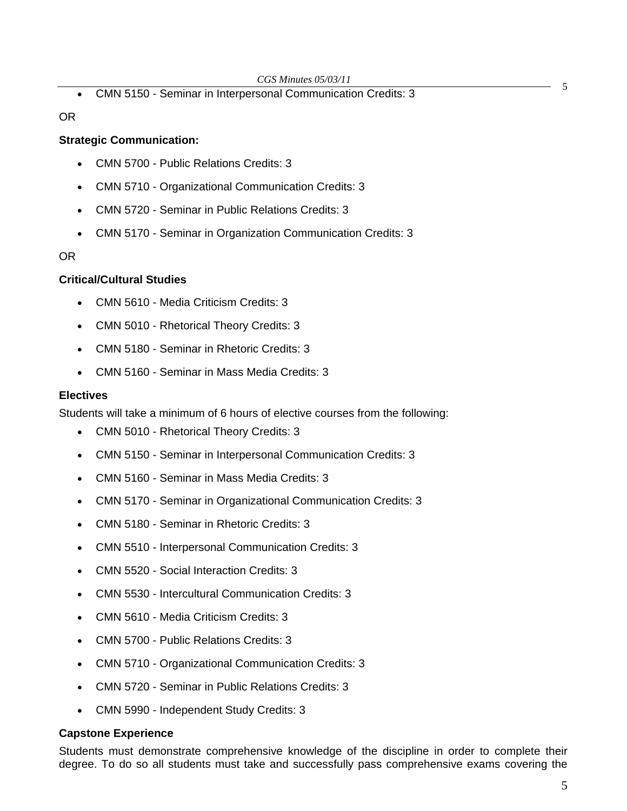**EXECUTE:** COS MINITES 05705/11<br>• CMN 5150 - Seminar in Interpersonal Communication Credits: 3

OR

# **Strategic Communication:**

- CMN 5700 Public Relations Credits: 3
- CMN 5710 Organizational Communication Credits: 3
- CMN 5720 Seminar in Public Relations Credits: 3
- CMN 5170 Seminar in Organization Communication Credits: 3

OR

# **Critical/Cultural Studies**

- CMN 5610 Media Criticism Credits: 3
- CMN 5010 Rhetorical Theory Credits: 3
- CMN 5180 Seminar in Rhetoric Credits: 3
- CMN 5160 Seminar in Mass Media Credits: 3

# **Electives**

Students will take a minimum of 6 hours of elective courses from the following:

- CMN 5010 Rhetorical Theory Credits: 3
- CMN 5150 Seminar in Interpersonal Communication Credits: 3
- CMN 5160 Seminar in Mass Media Credits: 3
- CMN 5170 Seminar in Organizational Communication Credits: 3
- CMN 5180 Seminar in Rhetoric Credits: 3
- CMN 5510 Interpersonal Communication Credits: 3
- CMN 5520 Social Interaction Credits: 3
- CMN 5530 Intercultural Communication Credits: 3
- CMN 5610 Media Criticism Credits: 3
- CMN 5700 Public Relations Credits: 3
- CMN 5710 Organizational Communication Credits: 3
- CMN 5720 Seminar in Public Relations Credits: 3
- CMN 5990 Independent Study Credits: 3

# **Capstone Experience**

Students must demonstrate comprehensive knowledge of the discipline in order to complete their degree. To do so all students must take and successfully pass comprehensive exams covering the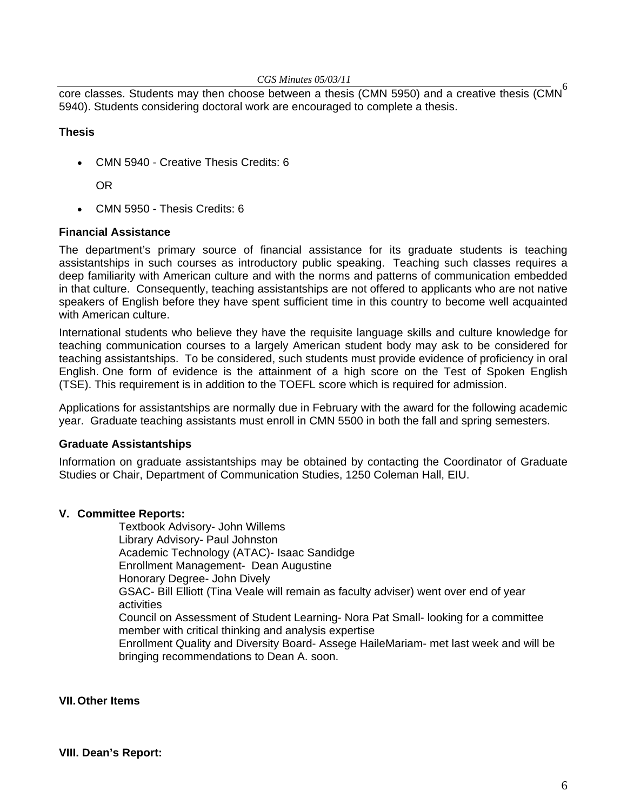#### *CGS Minutes 05/03/11*

core classes. Students may then choose between a thesis (CMN 5950) and a creative thesis (CMN<sup>6</sup> 5940). Students considering doctoral work are encouraged to complete a thesis.

# **Thesis**

• CMN 5940 - Creative Thesis Credits: 6

OR

• CMN 5950 - Thesis Credits: 6

## **Financial Assistance**

The department's primary source of financial assistance for its graduate students is teaching assistantships in such courses as introductory public speaking. Teaching such classes requires a deep familiarity with American culture and with the norms and patterns of communication embedded in that culture. Consequently, teaching assistantships are not offered to applicants who are not native speakers of English before they have spent sufficient time in this country to become well acquainted with American culture.

International students who believe they have the requisite language skills and culture knowledge for teaching communication courses to a largely American student body may ask to be considered for teaching assistantships. To be considered, such students must provide evidence of proficiency in oral English. One form of evidence is the attainment of a high score on the Test of Spoken English (TSE). This requirement is in addition to the TOEFL score which is required for admission.

Applications for assistantships are normally due in February with the award for the following academic year. Graduate teaching assistants must enroll in CMN 5500 in both the fall and spring semesters.

## **Graduate Assistantships**

Information on graduate assistantships may be obtained by contacting the Coordinator of Graduate Studies or Chair, Department of Communication Studies, 1250 Coleman Hall, EIU.

## **V. Committee Reports:**

Textbook Advisory- John Willems Library Advisory- Paul Johnston Academic Technology (ATAC)- Isaac Sandidge Enrollment Management- Dean Augustine Honorary Degree- John Dively GSAC- Bill Elliott (Tina Veale will remain as faculty adviser) went over end of year activities Council on Assessment of Student Learning- Nora Pat Small- looking for a committee member with critical thinking and analysis expertise Enrollment Quality and Diversity Board- Assege HaileMariam- met last week and will be bringing recommendations to Dean A. soon.

**VII. Other Items**